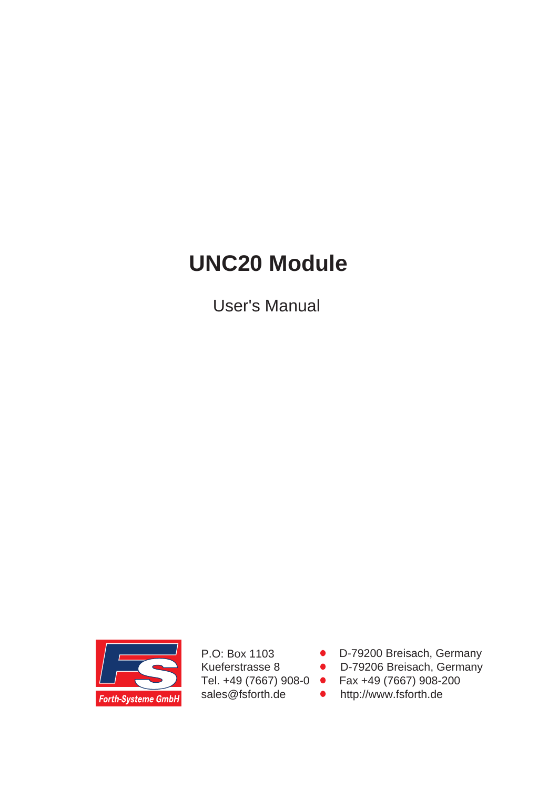# **UNC20 Module**

User's Manual



P.O: Box 1103 Kueferstrasse 8 Tel. +49 (7667) 908-0 sales@fsforth.de

- D-79200 Breisach, Germany
- D-79206 Breisach, Germany
- Fax +49 (7667) 908-200
- http://www.fsforth.de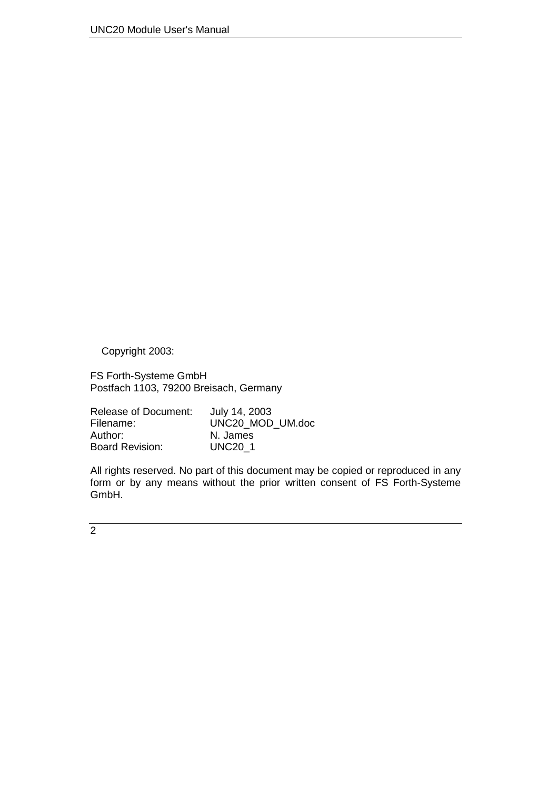Copyright 2003:

FS Forth-Systeme GmbH Postfach 1103, 79200 Breisach, Germany

| Release of Document:   | July 14, 2003    |
|------------------------|------------------|
| Filename:              | UNC20 MOD UM.doc |
| Author:                | N. James         |
| <b>Board Revision:</b> | <b>UNC20 1</b>   |

All rights reserved. No part of this document may be copied or reproduced in any form or by any means without the prior written consent of FS Forth-Systeme GmbH.

 $\overline{2}$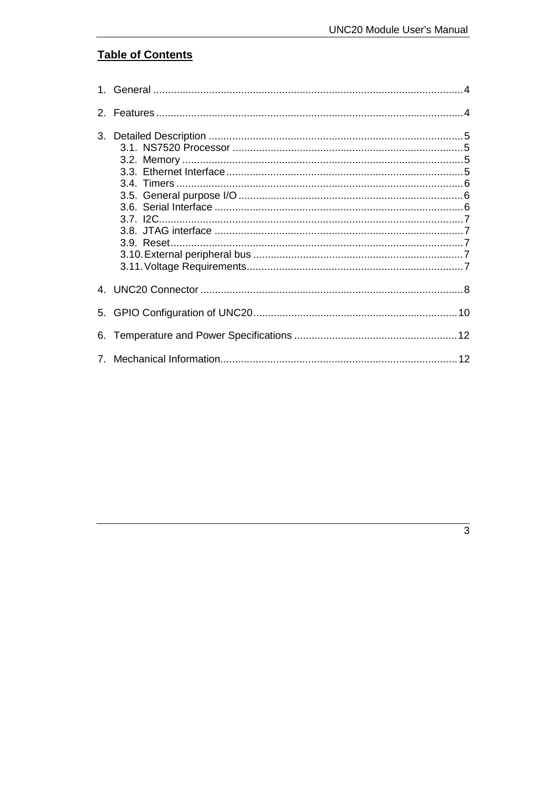# **Table of Contents**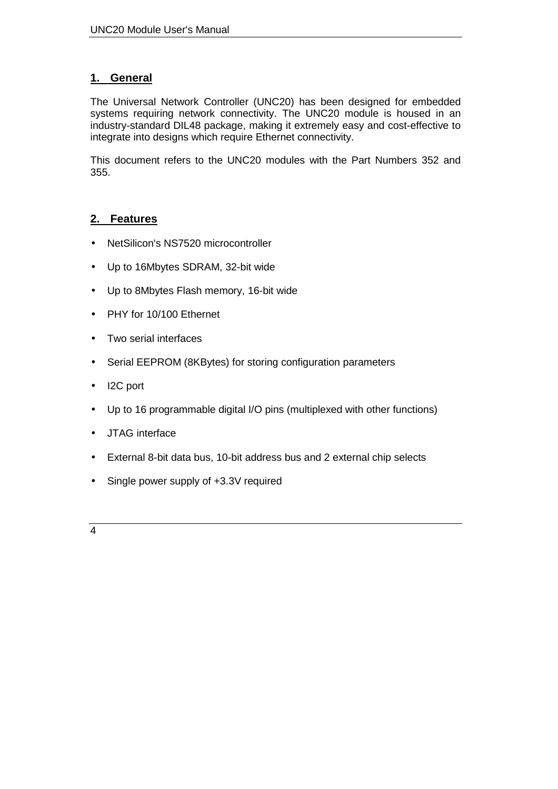## <span id="page-3-0"></span>**1. General**

The Universal Network Controller (UNC20) has been designed for embedded systems requiring network connectivity. The UNC20 module is housed in an industry-standard DIL48 package, making it extremely easy and cost-effective to integrate into designs which require Ethernet connectivity.

This document refers to the UNC20 modules with the Part Numbers 352 and 355.

## **2. Features**

- NetSilicon's NS7520 microcontroller
- Up to 16Mbytes SDRAM, 32-bit wide
- Up to 8Mbytes Flash memory, 16-bit wide
- PHY for 10/100 Ethernet
- Two serial interfaces
- Serial EEPROM (8KBytes) for storing configuration parameters
- I2C port
- Up to 16 programmable digital I/O pins (multiplexed with other functions)
- JTAG interface
- External 8-bit data bus, 10-bit address bus and 2 external chip selects
- Single power supply of +3.3V required
- 4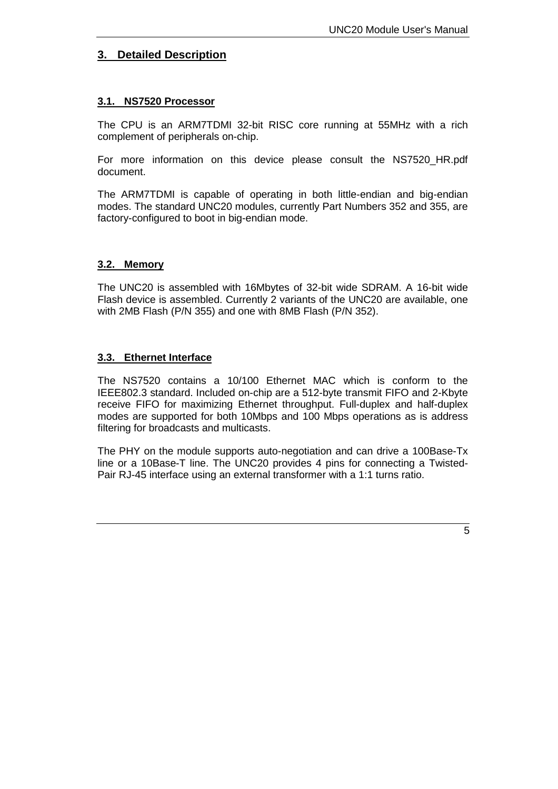### <span id="page-4-0"></span>**3. Detailed Description**

#### **3.1. NS7520 Processor**

The CPU is an ARM7TDMI 32-bit RISC core running at 55MHz with a rich complement of peripherals on-chip.

For more information on this device please consult the NS7520\_HR.pdf document.

The ARM7TDMI is capable of operating in both little-endian and big-endian modes. The standard UNC20 modules, currently Part Numbers 352 and 355, are factory-configured to boot in big-endian mode.

#### **3.2. Memory**

The UNC20 is assembled with 16Mbytes of 32-bit wide SDRAM. A 16-bit wide Flash device is assembled. Currently 2 variants of the UNC20 are available, one with 2MB Flash (P/N 355) and one with 8MB Flash (P/N 352).

#### **3.3. Ethernet Interface**

The NS7520 contains a 10/100 Ethernet MAC which is conform to the IEEE802.3 standard. Included on-chip are a 512-byte transmit FIFO and 2-Kbyte receive FIFO for maximizing Ethernet throughput. Full-duplex and half-duplex modes are supported for both 10Mbps and 100 Mbps operations as is address filtering for broadcasts and multicasts.

The PHY on the module supports auto-negotiation and can drive a 100Base-Tx line or a 10Base-T line. The UNC20 provides 4 pins for connecting a Twisted-Pair RJ-45 interface using an external transformer with a 1:1 turns ratio.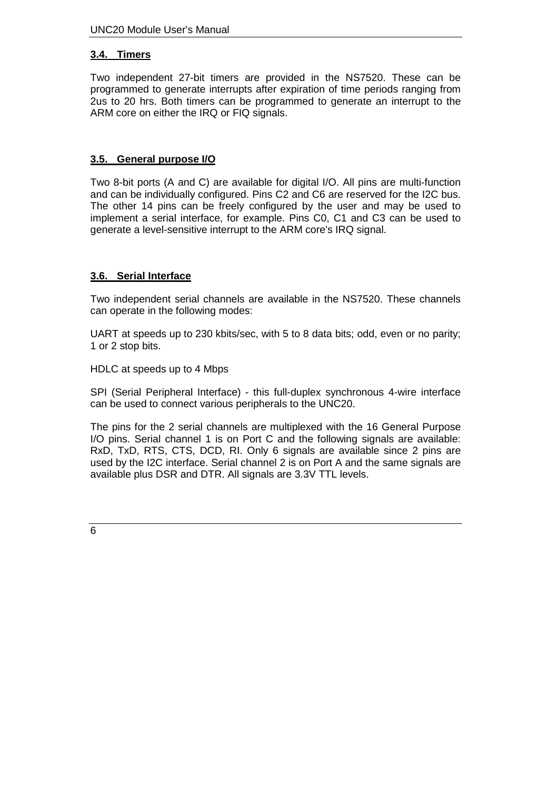#### <span id="page-5-0"></span>**3.4. Timers**

Two independent 27-bit timers are provided in the NS7520. These can be programmed to generate interrupts after expiration of time periods ranging from 2us to 20 hrs. Both timers can be programmed to generate an interrupt to the ARM core on either the IRQ or FIQ signals.

#### **3.5. General purpose I/O**

Two 8-bit ports (A and C) are available for digital I/O. All pins are multi-function and can be individually configured. Pins C2 and C6 are reserved for the I2C bus. The other 14 pins can be freely configured by the user and may be used to implement a serial interface, for example. Pins C0, C1 and C3 can be used to generate a level-sensitive interrupt to the ARM core's IRQ signal.

#### **3.6. Serial Interface**

Two independent serial channels are available in the NS7520. These channels can operate in the following modes:

UART at speeds up to 230 kbits/sec, with 5 to 8 data bits; odd, even or no parity; 1 or 2 stop bits.

HDLC at speeds up to 4 Mbps

SPI (Serial Peripheral Interface) - this full-duplex synchronous 4-wire interface can be used to connect various peripherals to the UNC20.

The pins for the 2 serial channels are multiplexed with the 16 General Purpose I/O pins. Serial channel 1 is on Port C and the following signals are available: RxD, TxD, RTS, CTS, DCD, RI. Only 6 signals are available since 2 pins are used by the I2C interface. Serial channel 2 is on Port A and the same signals are available plus DSR and DTR. All signals are 3.3V TTL levels.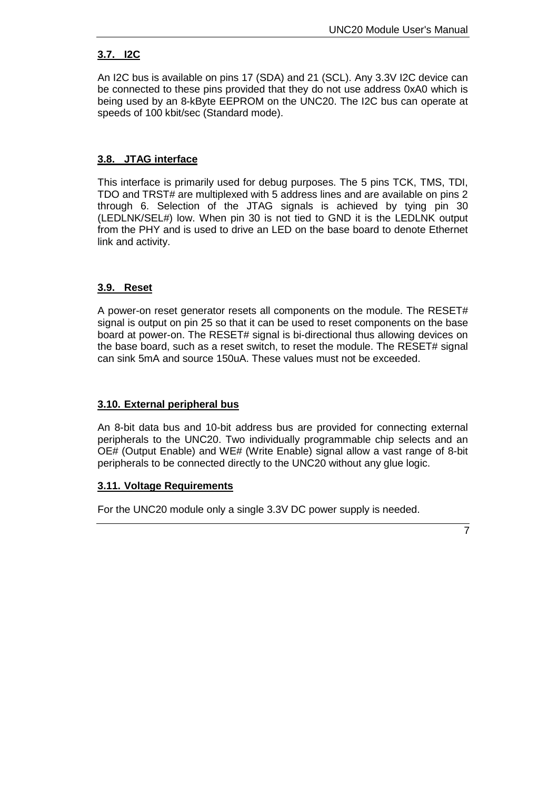#### <span id="page-6-0"></span>**3.7. I2C**

An I2C bus is available on pins 17 (SDA) and 21 (SCL). Any 3.3V I2C device can be connected to these pins provided that they do not use address 0xA0 which is being used by an 8-kByte EEPROM on the UNC20. The I2C bus can operate at speeds of 100 kbit/sec (Standard mode).

#### **3.8. JTAG interface**

This interface is primarily used for debug purposes. The 5 pins TCK, TMS, TDI, TDO and TRST# are multiplexed with 5 address lines and are available on pins 2 through 6. Selection of the JTAG signals is achieved by tying pin 30 (LEDLNK/SEL#) low. When pin 30 is not tied to GND it is the LEDLNK output from the PHY and is used to drive an LED on the base board to denote Ethernet link and activity.

#### **3.9. Reset**

A power-on reset generator resets all components on the module. The RESET# signal is output on pin 25 so that it can be used to reset components on the base board at power-on. The RESET# signal is bi-directional thus allowing devices on the base board, such as a reset switch, to reset the module. The RESET# signal can sink 5mA and source 150uA. These values must not be exceeded.

#### **3.10. External peripheral bus**

An 8-bit data bus and 10-bit address bus are provided for connecting external peripherals to the UNC20. Two individually programmable chip selects and an OE# (Output Enable) and WE# (Write Enable) signal allow a vast range of 8-bit peripherals to be connected directly to the UNC20 without any glue logic.

#### **3.11. Voltage Requirements**

For the UNC20 module only a single 3.3V DC power supply is needed.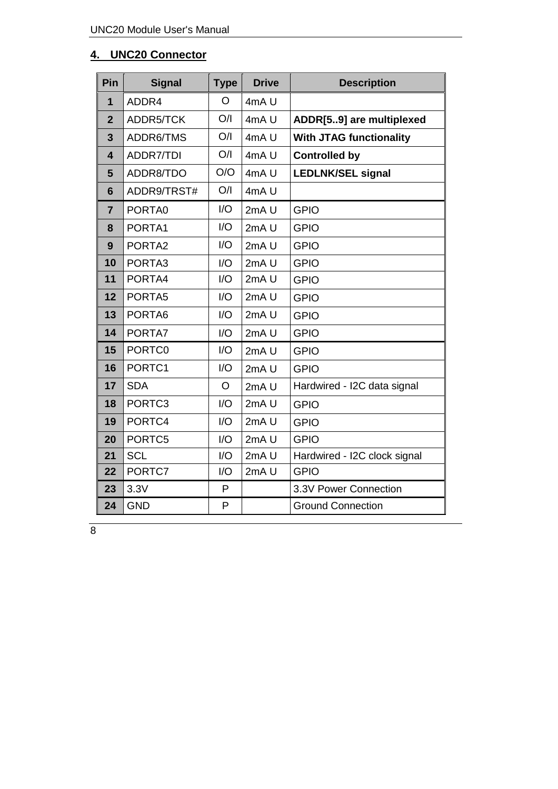# <span id="page-7-0"></span>**4. UNC20 Connector**

| Pin                     | <b>Signal</b>      | <b>Type</b> | <b>Drive</b>     | <b>Description</b>             |  |
|-------------------------|--------------------|-------------|------------------|--------------------------------|--|
| $\overline{\mathbf{1}}$ | ADDR4              | O           | 4mAU             |                                |  |
| $\overline{2}$          | ADDR5/TCK          | O/I         | 4mAU             | ADDR[59] are multiplexed       |  |
| 3                       | ADDR6/TMS          | O/I         | 4mAU             | <b>With JTAG functionality</b> |  |
| 4                       | ADDR7/TDI          | O/I         | 4mAU             | <b>Controlled by</b>           |  |
| 5                       | ADDR8/TDO          | O/O         | 4mAU             | <b>LEDLNK/SEL signal</b>       |  |
| 6                       | ADDR9/TRST#        | O/I         | 4mAU             |                                |  |
| $\overline{7}$          | PORTA0             | I/O         | 2mA <sub>U</sub> | <b>GPIO</b>                    |  |
| 8                       | PORTA1             | I/O         | 2mA <sub>U</sub> | <b>GPIO</b>                    |  |
| 9                       | PORTA <sub>2</sub> | 1/O         | 2mA <sub>U</sub> | <b>GPIO</b>                    |  |
| 10                      | PORTA3             | I/O         | 2mA <sub>U</sub> | <b>GPIO</b>                    |  |
| 11                      | PORTA4             | I/O         | 2mAU             | <b>GPIO</b>                    |  |
| 12                      | PORTA5             | I/O         | 2mAU             | <b>GPIO</b>                    |  |
| 13                      | PORTA6             | I/O         | 2mAU             | <b>GPIO</b>                    |  |
| 14                      | PORTA7             | I/O         | 2mA U            | <b>GPIO</b>                    |  |
| 15                      | PORTC0             | I/O         | 2mAU             | <b>GPIO</b>                    |  |
| 16                      | PORTC1             | I/O         | 2mAU             | <b>GPIO</b>                    |  |
| 17                      | <b>SDA</b>         | $\circ$     | 2mA <sub>U</sub> | Hardwired - I2C data signal    |  |
| 18                      | PORTC3             | I/O         | 2mA U            | <b>GPIO</b>                    |  |
| 19                      | PORTC4             | I/O         | 2mA <sub>U</sub> | <b>GPIO</b>                    |  |
| 20                      | PORTC5             | I/O         | 2mA <sub>U</sub> | <b>GPIO</b>                    |  |
| 21                      | <b>SCL</b>         | I/O         | 2mA <sub>U</sub> | Hardwired - I2C clock signal   |  |
| 22                      | PORTC7             | I/O         | 2mAU             | <b>GPIO</b>                    |  |
| 23                      | 3.3V               | P           |                  | 3.3V Power Connection          |  |
| 24                      | <b>GND</b>         | P           |                  | <b>Ground Connection</b>       |  |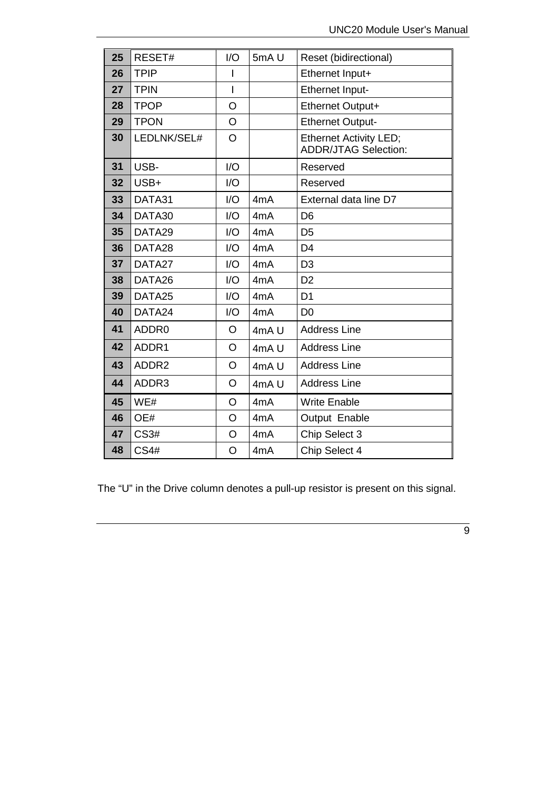| 25 | RESET#      | I/O            | 5mAU             | Reset (bidirectional)                                        |  |
|----|-------------|----------------|------------------|--------------------------------------------------------------|--|
| 26 | <b>TPIP</b> |                |                  | Ethernet Input+                                              |  |
| 27 | <b>TPIN</b> | I              |                  | Ethernet Input-                                              |  |
| 28 | <b>TPOP</b> | $\overline{O}$ |                  | Ethernet Output+                                             |  |
| 29 | <b>TPON</b> | O              |                  | <b>Ethernet Output-</b>                                      |  |
| 30 | LEDLNK/SEL# | $\overline{O}$ |                  | <b>Ethernet Activity LED;</b><br><b>ADDR/JTAG Selection:</b> |  |
| 31 | USB-        | I/O            |                  | Reserved                                                     |  |
| 32 | USB+        | I/O            |                  | Reserved                                                     |  |
| 33 | DATA31      | I/O            | 4mA              | External data line D7                                        |  |
| 34 | DATA30      | I/O            | 4mA              | D <sub>6</sub>                                               |  |
| 35 | DATA29      | 1/O            | 4mA              | D <sub>5</sub>                                               |  |
| 36 | DATA28      | I/O            | 4mA              | D <sub>4</sub>                                               |  |
| 37 | DATA27      | I/O            | 4mA              | D <sub>3</sub>                                               |  |
| 38 | DATA26      | I/O            | 4mA              | D <sub>2</sub>                                               |  |
| 39 | DATA25      | I/O            | 4 <sub>m</sub> A | D <sub>1</sub>                                               |  |
| 40 | DATA24      | I/O            | 4 <sub>m</sub> A | D <sub>0</sub>                                               |  |
| 41 | ADDR0       | O              | 4mAU             | <b>Address Line</b>                                          |  |
| 42 | ADDR1       | O              | 4mAU             | <b>Address Line</b>                                          |  |
| 43 | ADDR2       | O              | 4mAU             | <b>Address Line</b>                                          |  |
| 44 | ADDR3       | O              | 4mAU             | <b>Address Line</b>                                          |  |
| 45 | WE#         | O              | 4mA              | <b>Write Enable</b>                                          |  |
| 46 | OE#         | O              | 4mA              | Output Enable                                                |  |
| 47 | <b>CS3#</b> | O              | 4mA              | Chip Select 3                                                |  |
| 48 | <b>CS4#</b> | O              | 4mA              | Chip Select 4                                                |  |

The "U" in the Drive column denotes a pull-up resistor is present on this signal.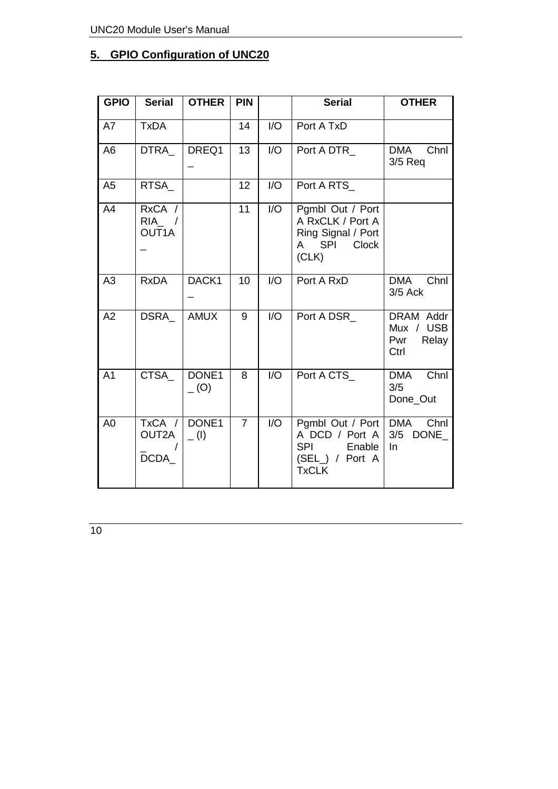# <span id="page-9-0"></span>**5. GPIO Configuration of UNC20**

| <b>GPIO</b>    | <b>Serial</b>              | <b>OTHER</b>        | <b>PIN</b>     |                  | <b>Serial</b>                                                                                       | <b>OTHER</b>                                   |  |
|----------------|----------------------------|---------------------|----------------|------------------|-----------------------------------------------------------------------------------------------------|------------------------------------------------|--|
| A7             | <b>TxDA</b>                |                     | 14             | I/O              | Port A TxD                                                                                          |                                                |  |
| A <sub>6</sub> | <b>DTRA</b>                | DREQ1               | 13             | $\overline{1/O}$ | Port A DTR                                                                                          | Chnl<br><b>DMA</b><br>$3/5$ Req                |  |
| A <sub>5</sub> | RTSA_                      |                     | 12             | I/O              | Port A RTS_                                                                                         |                                                |  |
| A4             | RxCA /<br>$RIA$ /<br>OUT1A |                     | 11             | I/O              | Pgmbl Out / Port<br>A RxCLK / Port A<br>Ring Signal / Port<br>A SPI<br>Clock<br>(CLK)               |                                                |  |
| A3             | <b>RxDA</b>                | DACK1               | 10             | 1/O              | Port A RxD                                                                                          | Chnl<br><b>DMA</b><br>3/5 Ack                  |  |
| A2             | <b>DSRA</b>                | <b>AMUX</b>         | 9              | 1/O              | Port A DSR                                                                                          | DRAM Addr<br>Mux / USB<br>Pwr<br>Relay<br>Ctrl |  |
| A <sub>1</sub> | <b>CTSA</b>                | DONE1<br>$_{-}$ (O) | 8              | 1/O              | Port A CTS_                                                                                         | Chnl<br><b>DMA</b><br>3/5<br>Done_Out          |  |
| A <sub>0</sub> | TxCA /<br>OUT2A<br>DCDA    | DONE1<br>$=$ (1)    | $\overline{7}$ | 1/O              | Pgmbl Out / Port   DMA<br>A DCD / Port A<br><b>SPI</b><br>Enable<br>(SEL_) / Port A<br><b>TxCLK</b> | Chnl<br>3/5<br>DONE_<br>$\ln$                  |  |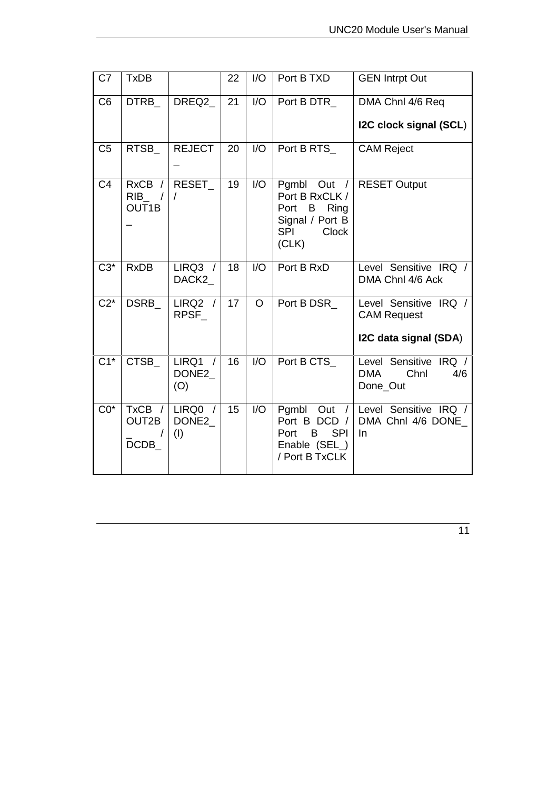| C <sub>7</sub> | <b>TxDB</b>                        |                                                 | 22 | 1/O                         | Port B TXD                                                                                             | <b>GEN Intrpt Out</b>                                                |
|----------------|------------------------------------|-------------------------------------------------|----|-----------------------------|--------------------------------------------------------------------------------------------------------|----------------------------------------------------------------------|
| C <sub>6</sub> | <b>DTRB</b>                        | DREQ2                                           | 21 | I/O                         | Port B DTR<br>DMA Chnl 4/6 Req<br>I2C clock signal (SCL)                                               |                                                                      |
| C <sub>5</sub> | RTSB_                              | <b>REJECT</b>                                   | 20 | 1/O                         | Port B RTS_                                                                                            | <b>CAM Reject</b>                                                    |
| C <sub>4</sub> | <b>RxCB</b><br><b>RIB</b><br>OUT1B | RESET<br>$\prime$                               | 19 | I/O                         | Pgmbl Out /<br>Port B RxCLK /<br>Port B Ring<br>Signal / Port B<br><b>SPI</b><br><b>Clock</b><br>(CLK) | <b>RESET Output</b>                                                  |
| $C3*$          | <b>RxDB</b>                        | $LIRQ3$ /<br>DACK2                              | 18 | 1/O                         | Port B RxD                                                                                             | Level Sensitive IRQ /<br>DMA Chnl 4/6 Ack                            |
| $C2^*$         | <b>DSRB</b>                        | LIRQ2 /<br>RPSF                                 | 17 | $\Omega$                    | Port B DSR                                                                                             | Level Sensitive IRQ /<br><b>CAM Request</b><br>I2C data signal (SDA) |
|                |                                    |                                                 |    |                             |                                                                                                        |                                                                      |
| $C1*$          | <b>CTSB</b>                        | LIRQ1<br>$\sqrt{ }$<br>DONE <sub>2</sub><br>(O) | 16 | $\overline{1}/\overline{O}$ | Port B CTS                                                                                             | Level Sensitive IRQ /<br><b>DMA</b><br>Chnl<br>4/6<br>Done_Out       |
| $CO*$          | TxCB /<br>OUT2B<br>DCDB            | LIRQ0 /<br>DONE <sub>2</sub><br>(1)             | 15 | I/O                         | Pgmbl<br>Out $/$<br>Port B DCD /<br><b>SPI</b><br>B<br>Port<br>Enable (SEL_)<br>/ Port B TxCLK         | Level Sensitive IRQ /<br>DMA Chnl 4/6 DONE<br>In                     |

11